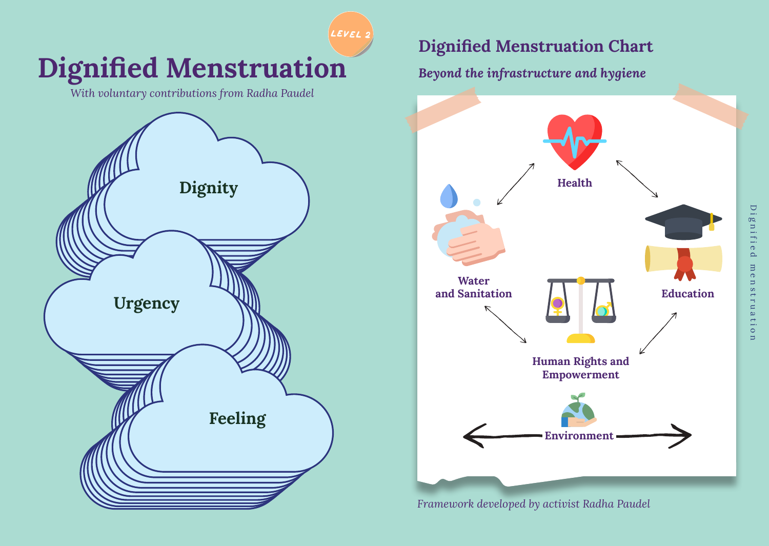**Dignified Menstruation** *With voluntary contributions from Radha Paudel*  **Feeling Urgency Dignity level 2**

## **Dignified Menstruation Chart**

*Beyond the infrastructure and hygiene*



*Framework developed by activist Radha Paudel*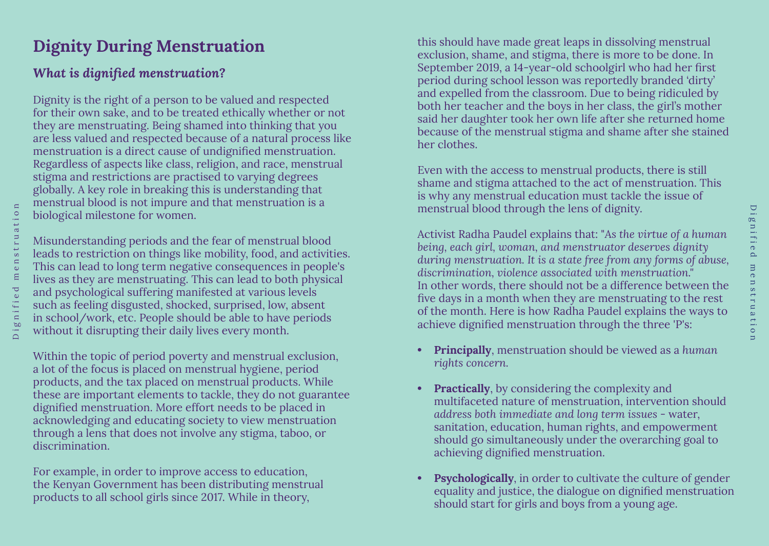# **Dignity During Menstruation**

## *What is dignified menstruation?*

Dignity is the right of a person to be valued and respected for their own sake, and to be treated ethically whether or not they are menstruating. Being shamed into thinking that you are less valued and respected because of a natural process like menstruation is a direct cause of undignified menstruation. Regardless of aspects like class, religion, and race, menstrual stigma and restrictions are practised to varying degrees globally. A key role in breaking this is understanding that menstrual blood is not impure and that menstruation is a biological milestone for women.

Misunderstanding periods and the fear of menstrual blood leads to restriction on things like mobility, food, and activities. This can lead to long term negative consequences in people's lives as they are menstruating. This can lead to both physical and psychological suffering manifested at various levels such as feeling disgusted, shocked, surprised, low, absent in school/work, etc. People should be able to have periods without it disrupting their daily lives every month.

Within the topic of period poverty and menstrual exclusion, a lot of the focus is placed on menstrual hygiene, period products, and the tax placed on menstrual products. While these are important elements to tackle, they do not guarantee dignified menstruation. More effort needs to be placed in acknowledging and educating society to view menstruation through a lens that does not involve any stigma, taboo, or discrimination.

For example, in order to improve access to education, the Kenyan Government has been distributing menstrual products to all school girls since 2017. While in theory,

this should have made great leaps in dissolving menstrual exclusion, shame, and stigma, there is more to be done. In September 2019, a 14-year-old schoolgirl who had her first period during school lesson was reportedly branded 'dirty' and expelled from the classroom. Due to being ridiculed by both her teacher and the boys in her class, the girl's mother said her daughter took her own life after she returned home because of the menstrual stigma and shame after she stained her clothes.

Even with the access to menstrual products, there is still shame and stigma attached to the act of menstruation. This is why any menstrual education must tackle the issue of menstrual blood through the lens of dignity.

Activist Radha Paudel explains that: "*As the virtue of a human being, each girl, woman, and menstruator deserves dignity during menstruation. It is a state free from any forms of abuse, discrimination, violence associated with menstruation."*  In other words, there should not be a difference between the five days in a month when they are menstruating to the rest of the month. Here is how Radha Paudel explains the ways to achieve dignified menstruation through the three 'P's:

- **• Principally**, menstruation should be viewed as a *human rights concern.*
- **• Practically**, by considering the complexity and multifaceted nature of menstruation, intervention should *address both immediate and long term issues* - water, sanitation, education, human rights, and empowerment should go simultaneously under the overarching goal to achieving dignified menstruation.
- **• Psychologically**, in order to cultivate the culture of gender equality and justice, the dialogue on dignified menstruation should start for girls and boys from a young age.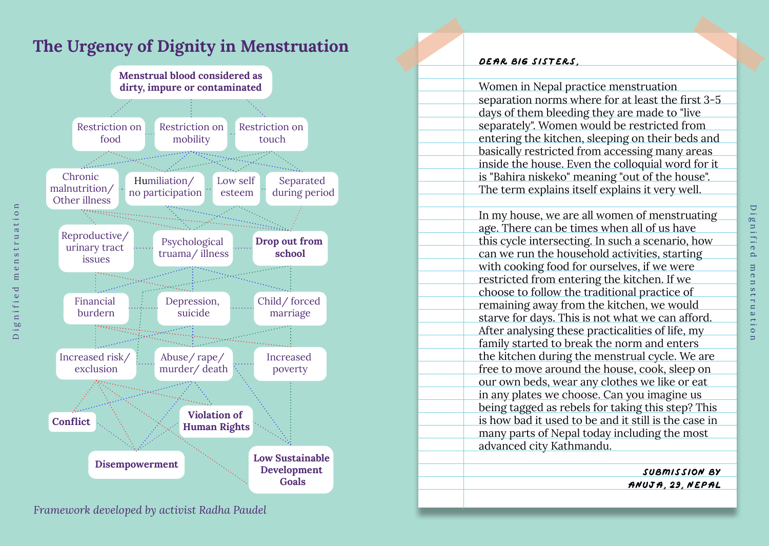



Dignified menstruation

 $\mathbf{r}$ 

٣  $\bullet$ 

 $\mathbf{a}$ **bû** 

 $\cap$ 

 $\omega$ 

 $\infty$  $\square$ 

 $\circ$  $\sigma$ Þ

### **Dear Big Sisters**, Women in Nepal practice menstruation separation norms where for at least the first 3-5 days of them bleeding they are made to "live separately". Women would be restricted from entering the kitchen, sleeping on their beds and basically restricted from accessing many areas inside the house. Even the colloquial word for it is "Bahira niskeko" meaning "out of the house". The term explains itself explains it very well. In my house, we are all women of menstruating age. There can be times when all of us have this cycle intersecting. In such a scenario, how can we run the household activities, starting with cooking food for ourselves, if we were restricted from entering the kitchen. If we choose to follow the traditional practice of remaining away from the kitchen, we would starve for days. This is not what we can afford. After analysing these practicalities of life, my family started to break the norm and enters the kitchen during the menstrual cycle. We are free to move around the house, cook, sleep on our own beds, wear any clothes we like or eat in any plates we choose. Can you imagine us being tagged as rebels for taking this step? This is how bad it used to be and it still is the case in many parts of Nepal today including the most advanced city Kathmandu.

**Submission by Anuja**, **29**, **nepal**

*Framework developed by activist Radha Paudel*